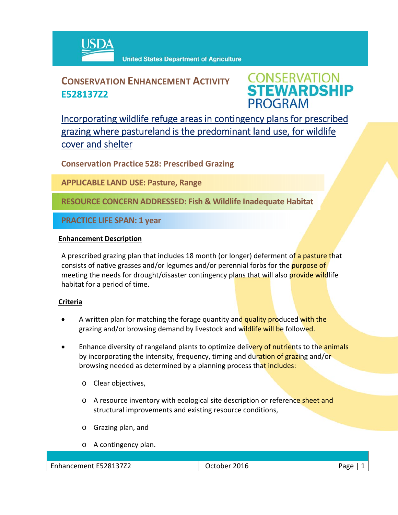

## **CONSERVATION ENHANCEMENT ACTIVITY E528137Z2**

**CONSERVATION<br>STEWARDSHIP PROGRAM** 

Incorporating wildlife refuge areas in contingency plans for prescribed grazing where pastureland is the predominant land use, for wildlife cover and shelter

**Conservation Practice 528: Prescribed Grazing**

**APPLICABLE LAND USE: Pasture, Range**

**RESOURCE CONCERN ADDRESSED: Fish & Wildlife Inadequate Habitat**

**PRACTICE LIFE SPAN: 1 year**

## **Enhancement Description**

A prescribed grazing plan that includes 18 month (or longer) deferment of a pasture that consists of native grasses and/or legumes and/or perennial forbs for the purpose of meeting the needs for drought/disaster contingency plans that will also provide wildlife habitat for a period of time.

## **Criteria**

- A written plan for matching the forage quantity and quality produced with the grazing and/or browsing demand by livestock and wildlife will be followed.
- Enhance diversity of rangeland plants to optimize delivery of nutrients to the animals by incorporating the intensity, frequency, timing and duration of grazing and/or browsing needed as determined by a planning process that includes:
	- o Clear objectives,
	- o A resource inventory with ecological site description or reference sheet and structural improvements and existing resource conditions,
	- o Grazing plan, and
	- o A contingency plan.

Enhancement E528137Z2 | Corober 2016 | October 2016